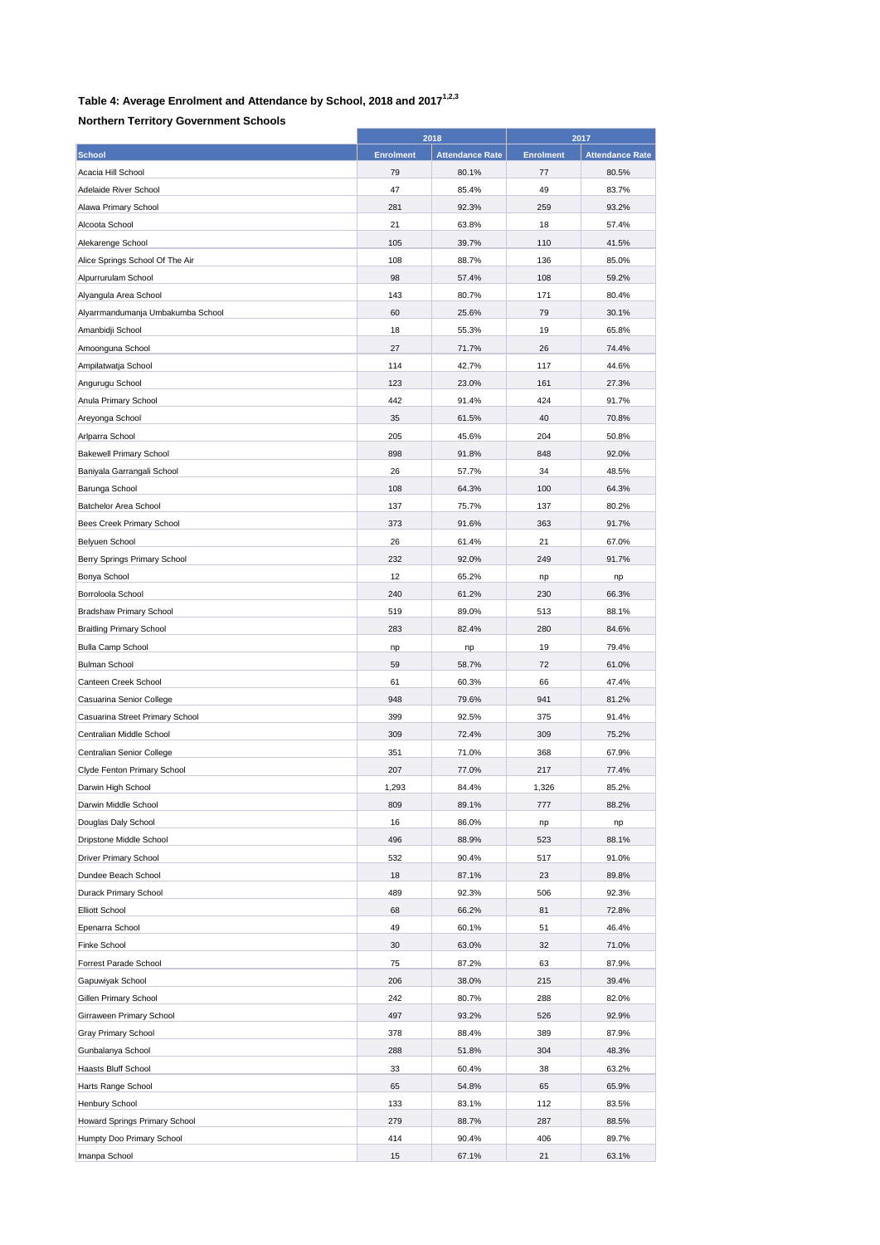## **Table 4: Average Enrolment and Attendance by School, 2018 and 20171,2,3**

## **Northern Territory Government Schools**

|                                              | 2018             |                        | 2017             |                        |
|----------------------------------------------|------------------|------------------------|------------------|------------------------|
| <b>School</b>                                | <b>Enrolment</b> | <b>Attendance Rate</b> | <b>Enrolment</b> | <b>Attendance Rate</b> |
| Acacia Hill School                           | 79               | 80.1%                  | 77               | 80.5%                  |
| Adelaide River School                        | 47               | 85.4%                  | 49               | 83.7%                  |
| Alawa Primary School                         | 281              | 92.3%                  | 259              | 93.2%                  |
| Alcoota School                               | 21               | 63.8%                  | 18               | 57.4%                  |
| Alekarenge School                            | 105              | 39.7%                  | 110              | 41.5%                  |
| Alice Springs School Of The Air              | 108              | 88.7%                  | 136              | 85.0%                  |
| Alpurrurulam School                          | 98               | 57.4%                  | 108              | 59.2%                  |
| Alyangula Area School                        | 143              | 80.7%                  | 171              | 80.4%                  |
| Alyarrmandumanja Umbakumba School            | 60               | 25.6%                  | 79               | 30.1%                  |
| Amanbidji School                             | 18               | 55.3%                  | 19               | 65.8%                  |
| Amoonguna School                             | 27               | 71.7%                  | 26               | 74.4%                  |
| Ampilatwatja School                          | 114              | 42.7%                  | 117              | 44.6%                  |
| Angurugu School                              | 123              | 23.0%                  | 161              | 27.3%                  |
| Anula Primary School                         | 442              | 91.4%                  | 424              | 91.7%                  |
| Areyonga School                              | 35               | 61.5%                  | 40               | 70.8%                  |
| Arlparra School                              | 205              | 45.6%                  | 204              | 50.8%                  |
| <b>Bakewell Primary School</b>               | 898              | 91.8%                  | 848              | 92.0%                  |
|                                              | 26               |                        | 34               | 48.5%                  |
| Baniyala Garrangali School<br>Barunga School | 108              | 57.7%<br>64.3%         | 100              | 64.3%                  |
|                                              |                  |                        |                  |                        |
| Batchelor Area School                        | 137              | 75.7%                  | 137              | 80.2%                  |
| Bees Creek Primary School                    | 373              | 91.6%                  | 363              | 91.7%                  |
| <b>Belyuen School</b>                        | 26               | 61.4%                  | 21               | 67.0%                  |
| Berry Springs Primary School                 | 232              | 92.0%                  | 249              | 91.7%                  |
| Bonya School                                 | 12               | 65.2%                  | np               | np                     |
| Borroloola School                            | 240              | 61.2%                  | 230              | 66.3%                  |
| Bradshaw Primary School                      | 519              | 89.0%                  | 513              | 88.1%                  |
| <b>Braitling Primary School</b>              | 283              | 82.4%                  | 280              | 84.6%                  |
| <b>Bulla Camp School</b>                     | np               | np                     | 19               | 79.4%                  |
| <b>Bulman School</b>                         | 59               | 58.7%                  | 72               | 61.0%                  |
| Canteen Creek School                         | 61               | 60.3%                  | 66               | 47.4%                  |
| Casuarina Senior College                     | 948              | 79.6%                  | 941              | 81.2%                  |
| Casuarina Street Primary School              | 399              | 92.5%                  | 375              | 91.4%                  |
| Centralian Middle School                     | 309              | 72.4%                  | 309              | 75.2%                  |
| Centralian Senior College                    | 351              | 71.0%                  | 368              | 67.9%                  |
| Clyde Fenton Primary School                  | 207              | 77.0%                  | 217              | 77.4%                  |
| Darwin High School                           | 1,293            | 84.4%                  | 1,326            | 85.2%                  |
| Darwin Middle School                         | 809              | 89.1%                  | 777              | 88.2%                  |
| Douglas Daly School                          | 16               | 86.0%                  | np               | np                     |
| Dripstone Middle School                      | 496              | 88.9%                  | 523              | 88.1%                  |
| <b>Driver Primary School</b>                 | 532              | 90.4%                  | 517              | 91.0%                  |
| Dundee Beach School                          | 18               | 87.1%                  | 23               | 89.8%                  |
| Durack Primary School                        | 489              | 92.3%                  | 506              | 92.3%                  |
| <b>Elliott School</b>                        | 68               | 66.2%                  | 81               | 72.8%                  |
| Epenarra School                              | 49               | 60.1%                  | 51               | 46.4%                  |
| Finke School                                 | 30               | 63.0%                  | 32               | 71.0%                  |
| Forrest Parade School                        | 75               | 87.2%                  | 63               | 87.9%                  |
| Gapuwiyak School                             | 206              | 38.0%                  | 215              | 39.4%                  |
| Gillen Primary School                        | 242              | 80.7%                  | 288              | 82.0%                  |
| Girraween Primary School                     | 497              | 93.2%                  | 526              | 92.9%                  |
| Gray Primary School                          | 378              | 88.4%                  | 389              | 87.9%                  |
| Gunbalanya School                            | 288              | 51.8%                  | 304              | 48.3%                  |
| Haasts Bluff School                          | 33               | 60.4%                  | 38               | 63.2%                  |
| Harts Range School                           | 65               | 54.8%                  | 65               | 65.9%                  |
| Henbury School                               | 133              | 83.1%                  | 112              | 83.5%                  |
| Howard Springs Primary School                | 279              | 88.7%                  | 287              | 88.5%                  |
| Humpty Doo Primary School                    | 414              | 90.4%                  | 406              | 89.7%                  |
| Imanpa School                                | 15               | 67.1%                  | 21               | 63.1%                  |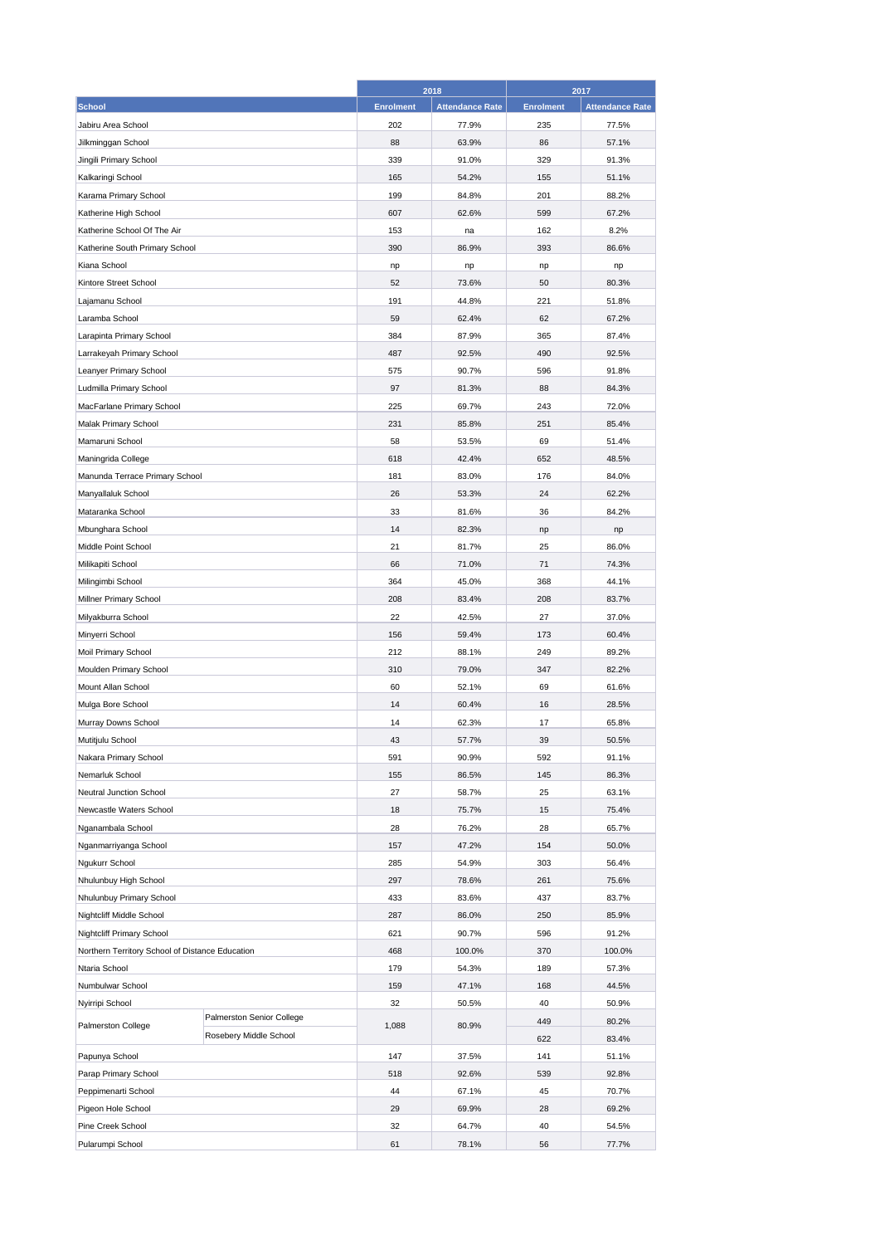|                                                 | 2018      |                        | 2017             |                        |
|-------------------------------------------------|-----------|------------------------|------------------|------------------------|
| <b>School</b>                                   | Enrolment | <b>Attendance Rate</b> | <b>Enrolment</b> | <b>Attendance Rate</b> |
| Jabiru Area School                              | 202       | 77.9%                  | 235              | 77.5%                  |
| Jilkminggan School                              | 88        | 63.9%                  | 86               | 57.1%                  |
| Jingili Primary School                          | 339       | 91.0%                  | 329              | 91.3%                  |
| Kalkaringi School                               | 165       | 54.2%                  | 155              | 51.1%                  |
| Karama Primary School                           | 199       | 84.8%                  | 201              | 88.2%                  |
| Katherine High School                           | 607       | 62.6%                  | 599              | 67.2%                  |
| Katherine School Of The Air                     | 153       | na                     | 162              | 8.2%                   |
| Katherine South Primary School                  | 390       | 86.9%                  | 393              | 86.6%                  |
| Kiana School                                    | np        | np                     | np               | np                     |
| Kintore Street School                           | 52        | 73.6%                  | 50               | 80.3%                  |
| Lajamanu School                                 | 191       | 44.8%                  | 221              | 51.8%                  |
| Laramba School                                  | 59        | 62.4%                  | 62               | 67.2%                  |
| Larapinta Primary School                        | 384       | 87.9%                  | 365              | 87.4%                  |
|                                                 | 487       |                        | 490              |                        |
| Larrakeyah Primary School                       |           | 92.5%                  |                  | 92.5%                  |
| Leanyer Primary School                          | 575       | 90.7%                  | 596              | 91.8%                  |
| Ludmilla Primary School                         | 97        | 81.3%                  | 88               | 84.3%                  |
| MacFarlane Primary School                       | 225       | 69.7%                  | 243              | 72.0%                  |
| Malak Primary School                            | 231       | 85.8%                  | 251              | 85.4%                  |
| Mamaruni School                                 | 58        | 53.5%                  | 69               | 51.4%                  |
| Maningrida College                              | 618       | 42.4%                  | 652              | 48.5%                  |
| Manunda Terrace Primary School                  | 181       | 83.0%                  | 176              | 84.0%                  |
| Manyallaluk School                              | 26        | 53.3%                  | 24               | 62.2%                  |
| Mataranka School                                | 33        | 81.6%                  | 36               | 84.2%                  |
| Mbunghara School                                | 14        | 82.3%                  | np               | np                     |
| Middle Point School                             | 21        | 81.7%                  | 25               | 86.0%                  |
| Milikapiti School                               | 66        | 71.0%                  | 71               | 74.3%                  |
| Milingimbi School                               | 364       | 45.0%                  | 368              | 44.1%                  |
| Millner Primary School                          | 208       | 83.4%                  | 208              | 83.7%                  |
| Milyakburra School                              | 22        | 42.5%                  | 27               | 37.0%                  |
| Minyerri School                                 | 156       | 59.4%                  | 173              | 60.4%                  |
| Moil Primary School                             | 212       | 88.1%                  | 249              | 89.2%                  |
| Moulden Primary School                          | 310       | 79.0%                  | 347              | 82.2%                  |
| Mount Allan School                              | 60        | 52.1%                  | 69               | 61.6%                  |
| Mulga Bore School                               | 14        | 60.4%                  | 16               | 28.5%                  |
| Murray Downs School                             | 14        | 62.3%                  | 17               | 65.8%                  |
| Mutitjulu School                                | 43        | 57.7%                  | 39               | 50.5%                  |
| Nakara Primary School                           | 591       | 90.9%                  | 592              | 91.1%                  |
| Nemarluk School                                 | 155       | 86.5%                  | 145              | 86.3%                  |
| Neutral Junction School                         | 27        | 58.7%                  | 25               | 63.1%                  |
| Newcastle Waters School                         | 18        | 75.7%                  | 15               | 75.4%                  |
| Nganambala School                               | 28        | 76.2%                  | 28               | 65.7%                  |
| Nganmarriyanga School                           | 157       | 47.2%                  | 154              | 50.0%                  |
| Ngukurr School                                  | 285       | 54.9%                  | 303              | 56.4%                  |
| Nhulunbuy High School                           | 297       | 78.6%                  | 261              | 75.6%                  |
| Nhulunbuy Primary School                        | 433       | 83.6%                  | 437              | 83.7%                  |
| Nightcliff Middle School                        | 287       | 86.0%                  | 250              | 85.9%                  |
| Nightcliff Primary School                       | 621       | 90.7%                  | 596              | 91.2%                  |
| Northern Territory School of Distance Education | 468       | 100.0%                 | 370              | 100.0%                 |
| Ntaria School                                   | 179       | 54.3%                  | 189              | 57.3%                  |
| Numbulwar School                                | 159       | 47.1%                  | 168              | 44.5%                  |
| Nyirripi School                                 | 32        | 50.5%                  | 40               | 50.9%                  |
| Palmerston Senior College<br>Palmerston College | 1,088     | 80.9%                  | 449              | 80.2%                  |
| Rosebery Middle School                          |           |                        | 622              | 83.4%                  |
| Papunya School                                  | 147       | 37.5%                  | 141              | 51.1%                  |
| Parap Primary School                            | 518       | 92.6%                  | 539              | 92.8%                  |
| Peppimenarti School                             | 44        | 67.1%                  | 45               | 70.7%                  |
| Pigeon Hole School                              | 29        | 69.9%                  | 28               | 69.2%                  |
| Pine Creek School                               | 32        | 64.7%                  | 40               | 54.5%                  |
| Pularumpi School                                | 61        | 78.1%                  | 56               | 77.7%                  |